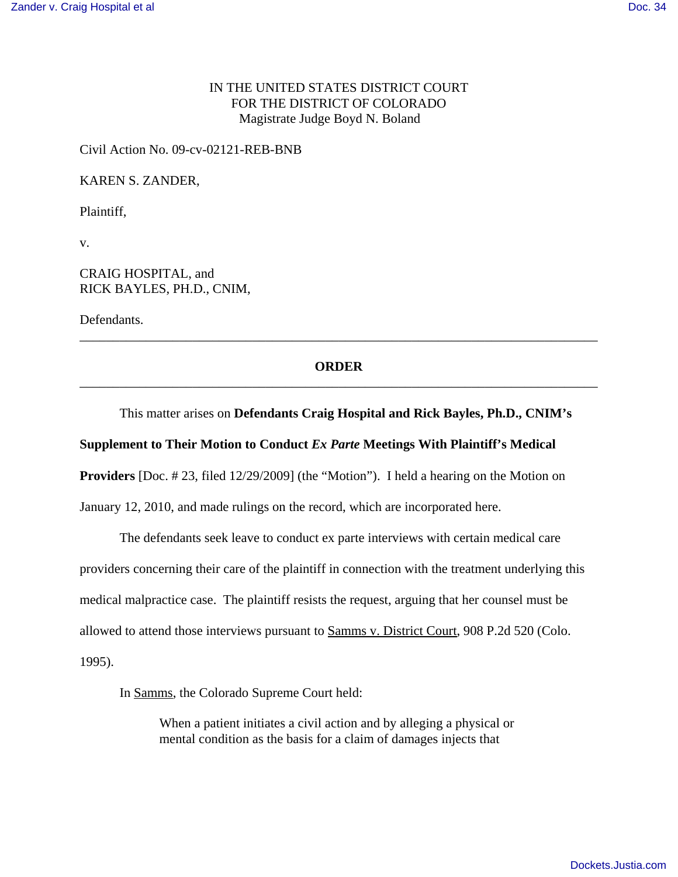# IN THE UNITED STATES DISTRICT COURT FOR THE DISTRICT OF COLORADO Magistrate Judge Boyd N. Boland

Civil Action No. 09-cv-02121-REB-BNB

KAREN S. ZANDER,

Plaintiff,

v.

### CRAIG HOSPITAL, and RICK BAYLES, PH.D., CNIM,

Defendants.

# **ORDER** \_\_\_\_\_\_\_\_\_\_\_\_\_\_\_\_\_\_\_\_\_\_\_\_\_\_\_\_\_\_\_\_\_\_\_\_\_\_\_\_\_\_\_\_\_\_\_\_\_\_\_\_\_\_\_\_\_\_\_\_\_\_\_\_\_\_\_\_\_\_\_\_\_\_\_\_\_\_

\_\_\_\_\_\_\_\_\_\_\_\_\_\_\_\_\_\_\_\_\_\_\_\_\_\_\_\_\_\_\_\_\_\_\_\_\_\_\_\_\_\_\_\_\_\_\_\_\_\_\_\_\_\_\_\_\_\_\_\_\_\_\_\_\_\_\_\_\_\_\_\_\_\_\_\_\_\_

#### This matter arises on **Defendants Craig Hospital and Rick Bayles, Ph.D., CNIM's**

### **Supplement to Their Motion to Conduct** *Ex Parte* **Meetings With Plaintiff's Medical**

**Providers** [Doc. # 23, filed 12/29/2009] (the "Motion"). I held a hearing on the Motion on

January 12, 2010, and made rulings on the record, which are incorporated here.

The defendants seek leave to conduct ex parte interviews with certain medical care providers concerning their care of the plaintiff in connection with the treatment underlying this medical malpractice case. The plaintiff resists the request, arguing that her counsel must be allowed to attend those interviews pursuant to Samms v. District Court, 908 P.2d 520 (Colo. 1995).

In Samms, the Colorado Supreme Court held:

When a patient initiates a civil action and by alleging a physical or mental condition as the basis for a claim of damages injects that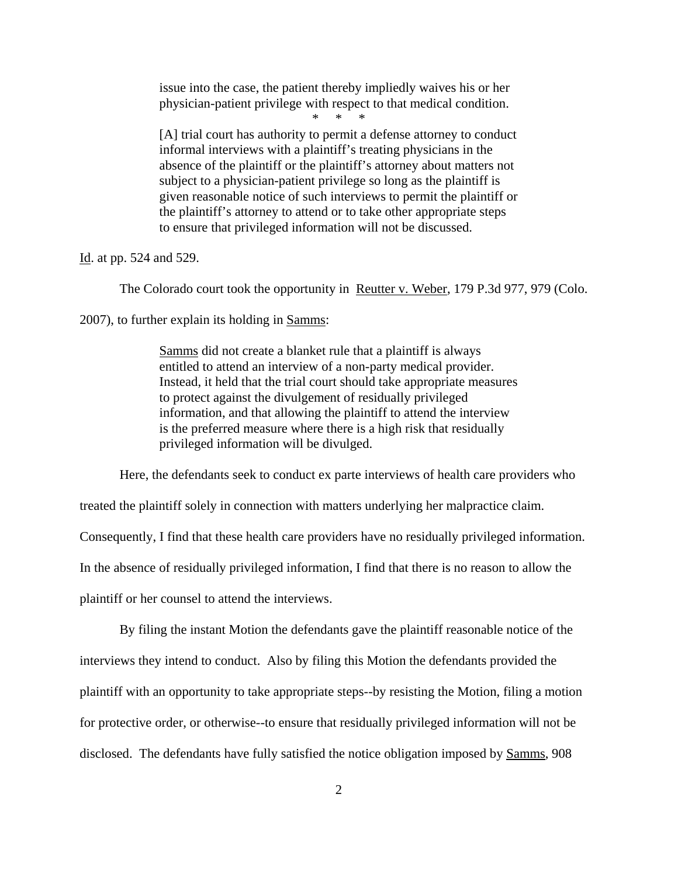issue into the case, the patient thereby impliedly waives his or her physician-patient privilege with respect to that medical condition.

\* \* \*

[A] trial court has authority to permit a defense attorney to conduct informal interviews with a plaintiff's treating physicians in the absence of the plaintiff or the plaintiff's attorney about matters not subject to a physician-patient privilege so long as the plaintiff is given reasonable notice of such interviews to permit the plaintiff or the plaintiff's attorney to attend or to take other appropriate steps to ensure that privileged information will not be discussed.

Id. at pp. 524 and 529.

The Colorado court took the opportunity in Reutter v. Weber, 179 P.3d 977, 979 (Colo.

2007), to further explain its holding in Samms:

Samms did not create a blanket rule that a plaintiff is always entitled to attend an interview of a non-party medical provider. Instead, it held that the trial court should take appropriate measures to protect against the divulgement of residually privileged information, and that allowing the plaintiff to attend the interview is the preferred measure where there is a high risk that residually privileged information will be divulged.

Here, the defendants seek to conduct ex parte interviews of health care providers who

treated the plaintiff solely in connection with matters underlying her malpractice claim.

Consequently, I find that these health care providers have no residually privileged information.

In the absence of residually privileged information, I find that there is no reason to allow the

plaintiff or her counsel to attend the interviews.

By filing the instant Motion the defendants gave the plaintiff reasonable notice of the interviews they intend to conduct. Also by filing this Motion the defendants provided the plaintiff with an opportunity to take appropriate steps--by resisting the Motion, filing a motion for protective order, or otherwise--to ensure that residually privileged information will not be disclosed. The defendants have fully satisfied the notice obligation imposed by Samms, 908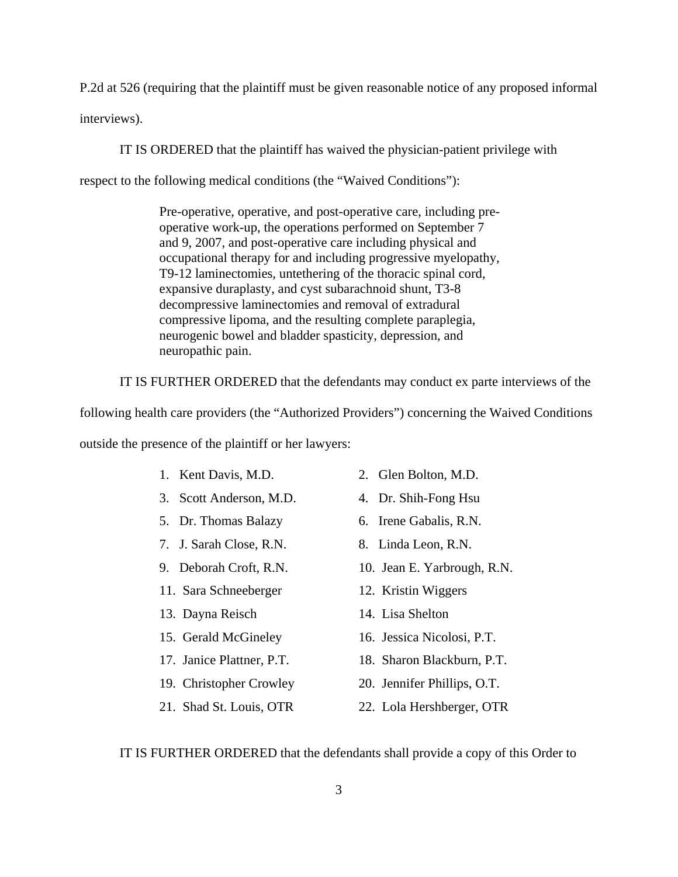P.2d at 526 (requiring that the plaintiff must be given reasonable notice of any proposed informal interviews).

IT IS ORDERED that the plaintiff has waived the physician-patient privilege with

respect to the following medical conditions (the "Waived Conditions"):

Pre-operative, operative, and post-operative care, including preoperative work-up, the operations performed on September 7 and 9, 2007, and post-operative care including physical and occupational therapy for and including progressive myelopathy, T9-12 laminectomies, untethering of the thoracic spinal cord, expansive duraplasty, and cyst subarachnoid shunt, T3-8 decompressive laminectomies and removal of extradural compressive lipoma, and the resulting complete paraplegia, neurogenic bowel and bladder spasticity, depression, and neuropathic pain.

IT IS FURTHER ORDERED that the defendants may conduct ex parte interviews of the

following health care providers (the "Authorized Providers") concerning the Waived Conditions

outside the presence of the plaintiff or her lawyers:

| 1. Kent Davis, M.D. | 2. Glen Bolto |
|---------------------|---------------|
|                     |               |

- 3. Scott Anderson, M.D. 4. Dr. Shih-Fong Hsu
- 5. Dr. Thomas Balazy 6. Irene Gabalis, R.N.
- 7. J. Sarah Close, R.N. 8. Linda Leon, R.N.
- 
- 11. Sara Schneeberger 12. Kristin Wiggers
- 
- 
- 
- 19. Christopher Crowley 20. Jennifer Phillips, O.T.
- 
- $\mathsf{on.}\ \mathsf{M.D.}$
- 
- 
- 
- 9. Deborah Croft, R.N. 10. Jean E. Yarbrough, R.N.
	-
- 13. Dayna Reisch 14. Lisa Shelton
- 15. Gerald McGineley 16. Jessica Nicolosi, P.T.
- 17. Janice Plattner, P.T. 18. Sharon Blackburn, P.T.
	-
- 21. Shad St. Louis, OTR 22. Lola Hershberger, OTR

IT IS FURTHER ORDERED that the defendants shall provide a copy of this Order to